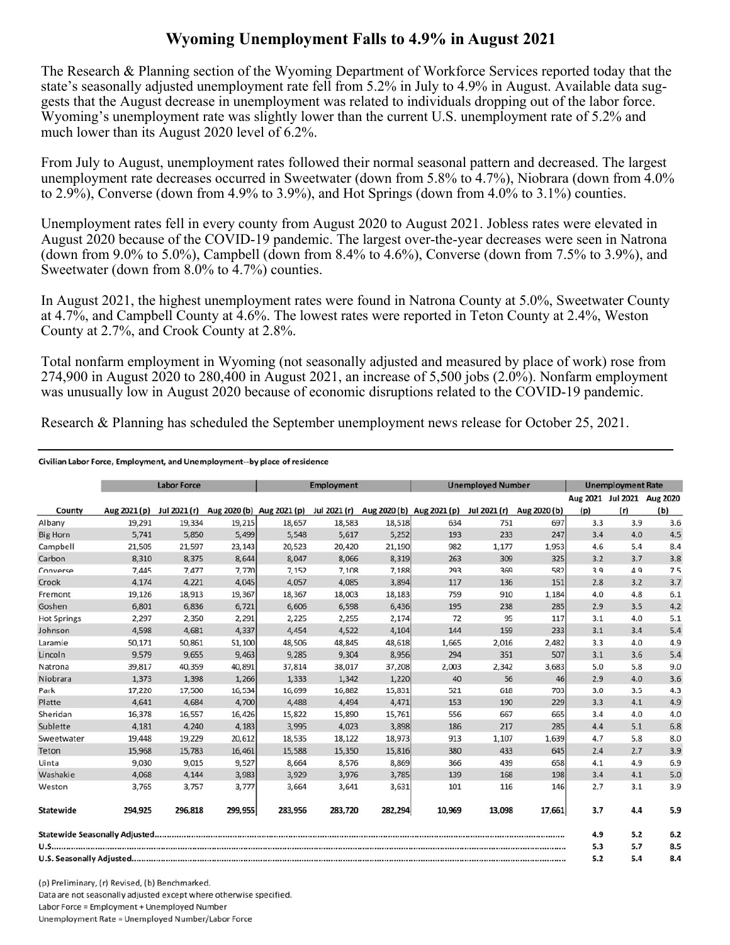## **Wyoming Unemployment Falls to 4.9% in August 2021**

The Research & Planning section of the Wyoming Department of Workforce Services reported today that the state's seasonally adjusted unemployment rate fell from 5.2% in July to 4.9% in August. Available data suggests that the August decrease in unemployment was related to individuals dropping out of the labor force. Wyoming's unemployment rate was slightly lower than the current U.S. unemployment rate of 5.2% and much lower than its August 2020 level of 6.2%.

From July to August, unemployment rates followed their normal seasonal pattern and decreased. The largest unemployment rate decreases occurred in Sweetwater (down from 5.8% to 4.7%), Niobrara (down from 4.0% to 2.9%), Converse (down from 4.9% to 3.9%), and Hot Springs (down from 4.0% to 3.1%) counties.

Unemployment rates fell in every county from August 2020 to August 2021. Jobless rates were elevated in August 2020 because of the COVID-19 pandemic. The largest over-the-year decreases were seen in Natrona (down from 9.0% to 5.0%), Campbell (down from 8.4% to 4.6%), Converse (down from 7.5% to 3.9%), and Sweetwater (down from 8.0% to 4.7%) counties.

In August 2021, the highest unemployment rates were found in Natrona County at 5.0%, Sweetwater County at 4.7%, and Campbell County at 4.6%. The lowest rates were reported in Teton County at 2.4%, Weston County at 2.7%, and Crook County at 2.8%.

Total nonfarm employment in Wyoming (not seasonally adjusted and measured by place of work) rose from 274,900 in August 2020 to 280,400 in August 2021, an increase of 5,500 jobs (2.0%). Nonfarm employment was unusually low in August 2020 because of economic disruptions related to the COVID-19 pandemic.

Research & Planning has scheduled the September unemployment news release for October 25, 2021.

## Civilian Labor Force, Employment, and Unemployment--by place of residence

|                    |              | <b>Labor Force</b> |         |                           | <b>Employment</b> |                           |        | <b>Unemployed Number</b> |              |     | <b>Unemployment Rate</b>          |     |
|--------------------|--------------|--------------------|---------|---------------------------|-------------------|---------------------------|--------|--------------------------|--------------|-----|-----------------------------------|-----|
| County             | Aug 2021 (p) | Jul 2021 (r)       |         | Aug 2020 (b) Aug 2021 (p) | Jul 2021 (r)      | Aug 2020 (b) Aug 2021 (p) |        | Jul 2021 (r)             | Aug 2020 (b) | (p) | Aug 2021 Jul 2021 Aug 2020<br>(r) | (b) |
| Albany             | 19,291       | 19,334             | 19,215  | 18,657                    | 18,583            | 18,518                    | 634    | 751                      | 697          | 3.3 | 3.9                               | 3.6 |
| <b>Big Horn</b>    | 5,741        | 5,850              | 5,499   | 5,548                     | 5,617             | 5,252                     | 193    | 233                      | 247          | 3.4 | 4.0                               | 4.5 |
| Campbell           | 21,505       | 21,597             | 23,143  | 20,523                    | 20,420            | 21,190                    | 982    | 1,177                    | 1,953        | 4.6 | 5.4                               | 8.4 |
| Carbon             | 8,310        | 8,375              | 8,644   | 8,047                     | 8,066             | 8,319                     | 263    | 309                      | 325          | 3.2 | 3.7                               | 3.8 |
| Converse           | 7,445        | 7,477              | 7,770   | 7,152                     | 7,108             | 7,188                     | 293    | 369                      | 582          | 3.9 | 4.9                               | 7.5 |
| Crook              | 4,174        | 4,221              | 4,045   | 4,057                     | 4,085             | 3,894                     | 117    | 136                      | 151          | 2.8 | 3.2                               | 3.7 |
| Fremont            | 19,126       | 18,913             | 19,367  | 18,367                    | 18,003            | 18,183                    | 759    | 910                      | 1,184        | 4.0 | 4.8                               | 6.1 |
| Goshen             | 6,801        | 6,836              | 6,721   | 6,606                     | 6,598             | 6,436                     | 195    | 238                      | 285          | 2.9 | 3.5                               | 4.2 |
| <b>Hot Springs</b> | 2,297        | 2,350              | 2,291   | 2,225                     | 2,255             | 2,174                     | 72     | 95                       | 117          | 3.1 | 4.0                               | 5.1 |
| Johnson            | 4,598        | 4,681              | 4,337   | 4,454                     | 4,522             | 4,104                     | 144    | 159                      | 233          | 3.1 | 3.4                               | 5.4 |
| Laramie            | 50,171       | 50,861             | 51,100  | 48,506                    | 48,845            | 48,618                    | 1,665  | 2,016                    | 2,482        | 3.3 | 4.0                               | 4.9 |
| Lincoln            | 9,579        | 9,655              | 9,463   | 9,285                     | 9,304             | 8,956                     | 294    | 351                      | 507          | 3.1 | 3.6                               | 5.4 |
| Natrona            | 39,817       | 40,359             | 40,891  | 37,814                    | 38,017            | 37,208                    | 2,003  | 2,342                    | 3,683        | 5.0 | 5.8                               | 9.0 |
| Niobrara           | 1,373        | 1,398              | 1,266   | 1,333                     | 1,342             | 1,220                     | 40     | 56                       | 46           | 2.9 | 4.0                               | 3.6 |
| Park               | 17,220       | 17,500             | 16,534  | 16,699                    | 16,882            | 15,831                    | 521    | 618                      | 703          | 3.0 | 3.5                               | 4.3 |
| Platte             | 4,641        | 4,684              | 4,700   | 4,488                     | 4,494             | 4,471                     | 153    | 190                      | 229          | 3.3 | 4.1                               | 4.9 |
| Sheridan           | 16,378       | 16,557             | 16,426  | 15,822                    | 15,890            | 15,761                    | 556    | 667                      | 665          | 3.4 | 4.0                               | 4.0 |
| Sublette           | 4,181        | 4,240              | 4,183   | 3,995                     | 4,023             | 3,898                     | 186    | 217                      | 285          | 4.4 | 5.1                               | 6.8 |
| Sweetwater         | 19,448       | 19,229             | 20,612  | 18,535                    | 18,122            | 18,973                    | 913    | 1,107                    | 1,639        | 4.7 | 5.8                               | 8.0 |
| Teton              | 15,968       | 15,783             | 16,461  | 15,588                    | 15,350            | 15,816                    | 380    | 433                      | 645          | 2.4 | 2.7                               | 3.9 |
| Uinta              | 9,030        | 9,015              | 9,527   | 8,664                     | 8,576             | 8,869                     | 366    | 439                      | 658          | 4.1 | 4.9                               | 6.9 |
| Washakie           | 4,068        | 4,144              | 3,983   | 3,929                     | 3,976             | 3,785                     | 139    | 168                      | 198          | 3.4 | 4.1                               | 5.0 |
| Weston             | 3,765        | 3,757              | 3,777   | 3,664                     | 3,641             | 3,631                     | 101    | 116                      | 146          | 2.7 | 3.1                               | 3.9 |
| Statewide          | 294,925      | 296,818            | 299,955 | 283,956                   | 283,720           | 282,294                   | 10,969 | 13,098                   | 17,661       | 3.7 | 4.4                               | 5.9 |
|                    |              |                    |         |                           |                   |                           |        |                          |              | 4.9 | 5.2                               | 6.2 |
|                    |              |                    |         |                           |                   |                           | 5.3    | 5.7                      | 8.5          |     |                                   |     |
|                    |              |                    |         |                           |                   |                           | 5.2    | 5.4                      | 8.4          |     |                                   |     |

(p) Preliminary, (r) Revised, (b) Benchmarked. Data are not seasonally adjusted except where otherwise specified. Labor Force = Employment + Unemployed Number Unemployment Rate = Unemployed Number/Labor Force